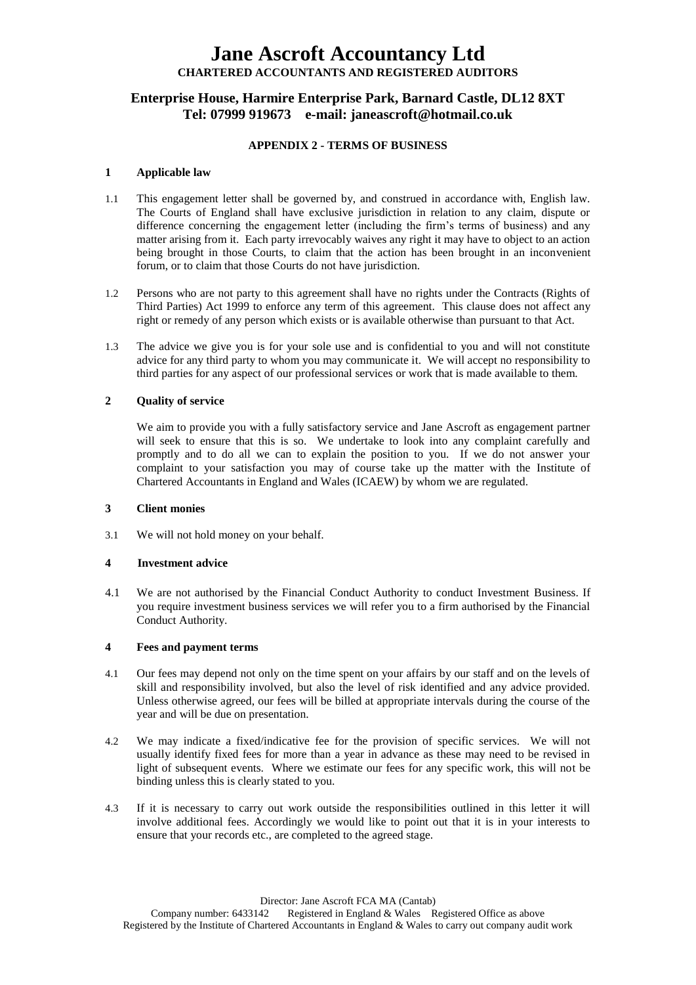## **Enterprise House, Harmire Enterprise Park, Barnard Castle, DL12 8XT Tel: 07999 919673 e-mail: janeascroft@hotmail.co.uk**

## **APPENDIX 2 - TERMS OF BUSINESS**

## **1 Applicable law**

- 1.1 This engagement letter shall be governed by, and construed in accordance with, English law. The Courts of England shall have exclusive jurisdiction in relation to any claim, dispute or difference concerning the engagement letter (including the firm's terms of business) and any matter arising from it. Each party irrevocably waives any right it may have to object to an action being brought in those Courts, to claim that the action has been brought in an inconvenient forum, or to claim that those Courts do not have jurisdiction.
- 1.2 Persons who are not party to this agreement shall have no rights under the Contracts (Rights of Third Parties) Act 1999 to enforce any term of this agreement. This clause does not affect any right or remedy of any person which exists or is available otherwise than pursuant to that Act.
- 1.3 The advice we give you is for your sole use and is confidential to you and will not constitute advice for any third party to whom you may communicate it. We will accept no responsibility to third parties for any aspect of our professional services or work that is made available to them.

## **2 Quality of service**

We aim to provide you with a fully satisfactory service and Jane Ascroft as engagement partner will seek to ensure that this is so. We undertake to look into any complaint carefully and promptly and to do all we can to explain the position to you. If we do not answer your complaint to your satisfaction you may of course take up the matter with the Institute of Chartered Accountants in England and Wales (ICAEW) by whom we are regulated.

## **3 Client monies**

3.1 We will not hold money on your behalf.

## **4 Investment advice**

4.1 We are not authorised by the Financial Conduct Authority to conduct Investment Business. If you require investment business services we will refer you to a firm authorised by the Financial Conduct Authority.

## **4 Fees and payment terms**

- 4.1 Our fees may depend not only on the time spent on your affairs by our staff and on the levels of skill and responsibility involved, but also the level of risk identified and any advice provided. Unless otherwise agreed, our fees will be billed at appropriate intervals during the course of the year and will be due on presentation.
- 4.2 We may indicate a fixed/indicative fee for the provision of specific services. We will not usually identify fixed fees for more than a year in advance as these may need to be revised in light of subsequent events. Where we estimate our fees for any specific work, this will not be binding unless this is clearly stated to you.
- 4.3 If it is necessary to carry out work outside the responsibilities outlined in this letter it will involve additional fees. Accordingly we would like to point out that it is in your interests to ensure that your records etc., are completed to the agreed stage.

Director: Jane Ascroft FCA MA (Cantab)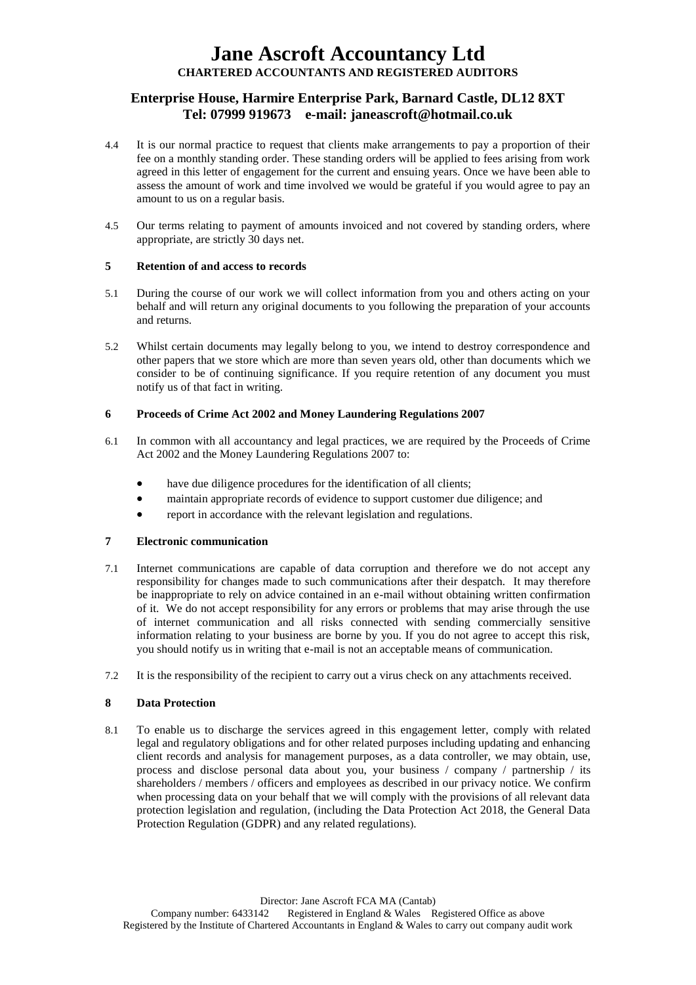## **Enterprise House, Harmire Enterprise Park, Barnard Castle, DL12 8XT Tel: 07999 919673 e-mail: janeascroft@hotmail.co.uk**

- 4.4 It is our normal practice to request that clients make arrangements to pay a proportion of their fee on a monthly standing order. These standing orders will be applied to fees arising from work agreed in this letter of engagement for the current and ensuing years. Once we have been able to assess the amount of work and time involved we would be grateful if you would agree to pay an amount to us on a regular basis.
- 4.5 Our terms relating to payment of amounts invoiced and not covered by standing orders, where appropriate, are strictly 30 days net.

## **5 Retention of and access to records**

- 5.1 During the course of our work we will collect information from you and others acting on your behalf and will return any original documents to you following the preparation of your accounts and returns.
- 5.2 Whilst certain documents may legally belong to you, we intend to destroy correspondence and other papers that we store which are more than seven years old, other than documents which we consider to be of continuing significance. If you require retention of any document you must notify us of that fact in writing.

## **6 Proceeds of Crime Act 2002 and Money Laundering Regulations 2007**

- 6.1 In common with all accountancy and legal practices, we are required by the Proceeds of Crime Act 2002 and the Money Laundering Regulations 2007 to:
	- have due diligence procedures for the identification of all clients;
	- maintain appropriate records of evidence to support customer due diligence; and
	- report in accordance with the relevant legislation and regulations.

## **7 Electronic communication**

- 7.1 Internet communications are capable of data corruption and therefore we do not accept any responsibility for changes made to such communications after their despatch. It may therefore be inappropriate to rely on advice contained in an e-mail without obtaining written confirmation of it. We do not accept responsibility for any errors or problems that may arise through the use of internet communication and all risks connected with sending commercially sensitive information relating to your business are borne by you. If you do not agree to accept this risk, you should notify us in writing that e-mail is not an acceptable means of communication.
- 7.2 It is the responsibility of the recipient to carry out a virus check on any attachments received.

## **8 Data Protection**

8.1 To enable us to discharge the services agreed in this engagement letter, comply with related legal and regulatory obligations and for other related purposes including updating and enhancing client records and analysis for management purposes, as a data controller, we may obtain, use, process and disclose personal data about you, your business / company / partnership / its shareholders / members / officers and employees as described in our privacy notice. We confirm when processing data on your behalf that we will comply with the provisions of all relevant data protection legislation and regulation, (including the Data Protection Act 2018, the General Data Protection Regulation (GDPR) and any related regulations).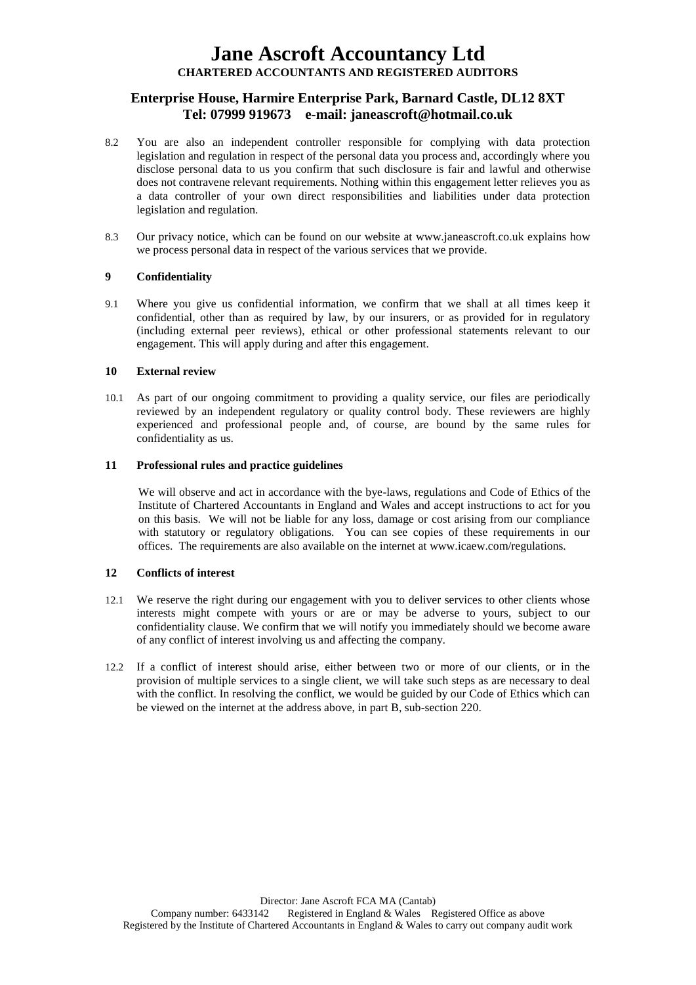## **Enterprise House, Harmire Enterprise Park, Barnard Castle, DL12 8XT Tel: 07999 919673 e-mail: janeascroft@hotmail.co.uk**

- 8.2 You are also an independent controller responsible for complying with data protection legislation and regulation in respect of the personal data you process and, accordingly where you disclose personal data to us you confirm that such disclosure is fair and lawful and otherwise does not contravene relevant requirements. Nothing within this engagement letter relieves you as a data controller of your own direct responsibilities and liabilities under data protection legislation and regulation.
- 8.3 Our privacy notice, which can be found on our website at www.janeascroft.co.uk explains how we process personal data in respect of the various services that we provide.

## **9 Confidentiality**

9.1 Where you give us confidential information, we confirm that we shall at all times keep it confidential, other than as required by law, by our insurers, or as provided for in regulatory (including external peer reviews), ethical or other professional statements relevant to our engagement. This will apply during and after this engagement.

## **10 External review**

10.1 As part of our ongoing commitment to providing a quality service, our files are periodically reviewed by an independent regulatory or quality control body. These reviewers are highly experienced and professional people and, of course, are bound by the same rules for confidentiality as us.

## **11 Professional rules and practice guidelines**

We will observe and act in accordance with the bye-laws, regulations and Code of Ethics of the Institute of Chartered Accountants in England and Wales and accept instructions to act for you on this basis. We will not be liable for any loss, damage or cost arising from our compliance with statutory or regulatory obligations. You can see copies of these requirements in our offices. The requirements are also available on the internet at www.icaew.com/regulations.

## **12 Conflicts of interest**

- 12.1 We reserve the right during our engagement with you to deliver services to other clients whose interests might compete with yours or are or may be adverse to yours, subject to our confidentiality clause. We confirm that we will notify you immediately should we become aware of any conflict of interest involving us and affecting the company.
- 12.2 If a conflict of interest should arise, either between two or more of our clients, or in the provision of multiple services to a single client, we will take such steps as are necessary to deal with the conflict. In resolving the conflict, we would be guided by our Code of Ethics which can be viewed on the internet at the address above, in part B, sub-section 220.